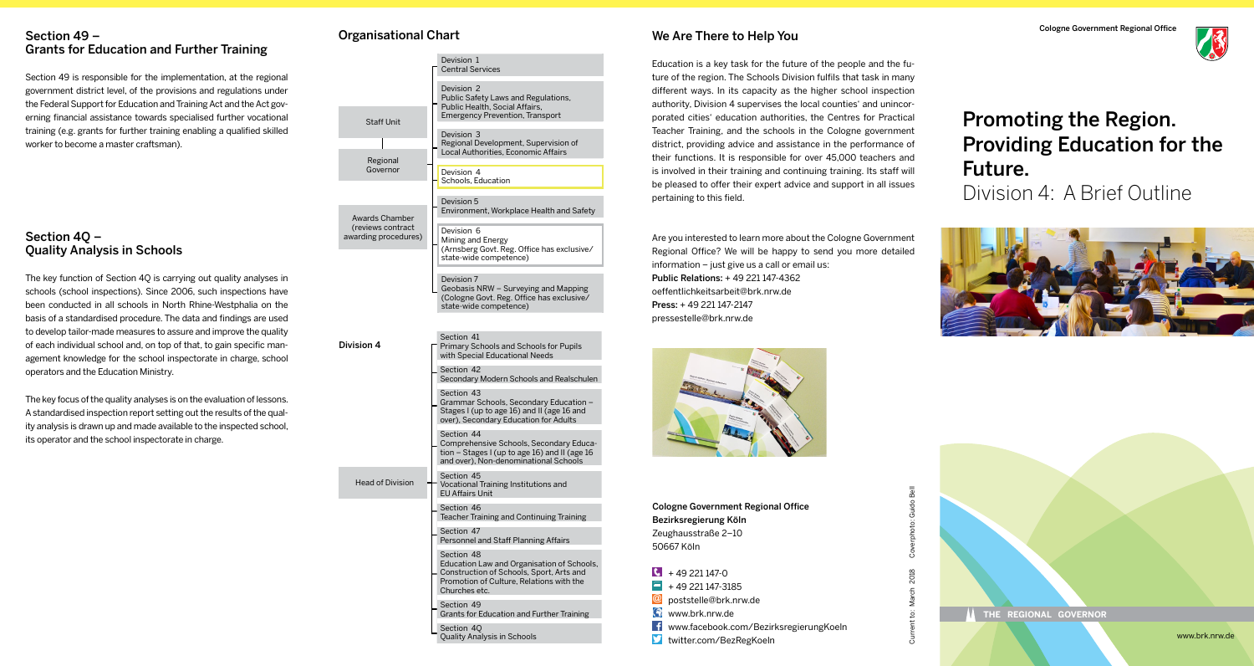#### Section 49 – Grants for Education and Further Training

Section 49 is responsible for the implementation, at the regional government district level, of the provisions and regulations under the Federal Support for Education and Training Act and the Act governing financial assistance towards specialised further vocational training (e.g. grants for further training enabling a qualified skilled worker to become a master craftsman).

## Section 4Q – Quality Analysis in Schools

The key function of Section 4Q is carrying out quality analyses in schools (school inspections). Since 2006, such inspections have been conducted in all schools in North Rhine-Westphalia on the basis of a standardised procedure. The data and findings are used to develop tailor-made measures to assure and improve the quality of each individual school and, on top of that, to gain specific management knowledge for the school inspectorate in charge, school operators and the Education Ministry.

The key focus of the quality analyses is on the evaluation of lessons. A standardised inspection report setting out the results of the quality analysis is drawn up and made available to the inspected school, its operator and the school inspectorate in charge.

# Organisational Chart

Gov

Awards (reviews awarding procedure

Staf

Head o

Division 4

| <b>Staff Unit</b>                                                        | Devision 1<br><b>Central Services</b>                                                                                                                             |
|--------------------------------------------------------------------------|-------------------------------------------------------------------------------------------------------------------------------------------------------------------|
|                                                                          | Devision 2<br>Public Safety Laws and Regulations,<br>Public Health, Social Affairs,<br><b>Emergency Prevention, Transport</b>                                     |
|                                                                          | Devision 3<br>Regional Development, Supervision of<br>Local Authorities, Economic Affairs                                                                         |
| Regional<br>Governor<br>ards Chamber<br>iews contract<br>ing procedures) | Devision 4<br>Schools, Education                                                                                                                                  |
|                                                                          | Devision 5<br>Environment, Workplace Health and Safety                                                                                                            |
|                                                                          | Devision 6<br>Mining and Energy<br>(Arnsberg Govt. Reg. Office has exclusive/<br>state-wide competence)                                                           |
|                                                                          | Devision 7<br>Geobasis NRW - Surveying and Mapping<br>(Cologne Govt. Reg. Office has exclusive/<br>state-wide competence)                                         |
| n 4                                                                      | Section 41<br><b>Primary Schools and Schools for Pupils</b><br>with Special Educational Needs                                                                     |
|                                                                          | Section 42<br>Secondary Modern Schools and Realschulen                                                                                                            |
|                                                                          | Section 43<br>Grammar Schools, Secondary Education -<br>Stages I (up to age 16) and II (age 16 and<br>over), Secondary Education for Adults                       |
|                                                                          | Section 44<br>Comprehensive Schools, Secondary Educa-<br>tion $-$ Stages I (up to age 16) and II (age 16<br>and over), Non-denominational Schools                 |
| ad of Division                                                           | Section 45<br>Vocational Training Institutions and<br><b>EU Affairs Unit</b>                                                                                      |
|                                                                          | Section 46<br>Teacher Training and Continuing Training                                                                                                            |
|                                                                          | Section 47<br>Personnel and Staff Planning Affairs                                                                                                                |
|                                                                          | Section 48<br>Education Law and Organisation of Schools,<br>Construction of Schools, Sport, Arts and<br>Promotion of Culture, Relations with the<br>Churches etc. |
|                                                                          | Section 49<br>Grants for Education and Further Training                                                                                                           |
|                                                                          | Section 40                                                                                                                                                        |

Quality Analysis in Schools

# We Are There to Help You

Education is a key task for the future of the people and the future of the region. The Schools Division fulfils that task in many different ways. In its capacity as the higher school inspection authority, Division 4 supervises the local counties' and unincorporated cities' education authorities, the Centres for Practical Teacher Training, and the schools in the Cologne government district, providing advice and assistance in the performance of their functions. It is responsible for over 45,000 teachers and is involved in their training and continuing training. Its staff will be pleased to offer their expert advice and support in all issues pertaining to this field.

Are you interested to learn more about the Cologne Government Regional Office? We will be happy to send you more detailed information – just give us a call or email us: Public Relations: + 49 221 147-4362 oeffentlichkeitsarbeit@brk.nrw.de Press: + 49 221 147-2147 pressestelle@brk.nrw.de



Cologne Government Regional Office Bezirksregierung Köln Zeughausstraße 2–10 50667 Köln

- $\sqrt{6}$  + 49 221 147-0
- $\blacksquare$  + 49 221 147-3185
- **@** poststelle@brk.nrw.de
- **Www.brk.nrw.de**
- www.facebook.com/BezirksregierungKoeln

Current to: March 2018 Coverphoto: Guido Bell

2018 March  $\ddot{\rm g}$ 

ā

Guido photo: Cover

twitter.com/BezRegKoeln

Cologne Government Regional Office

# Promoting the Region. Providing Education for the Future.

Division 4: A Brief Outline





www.brk.nrw.de